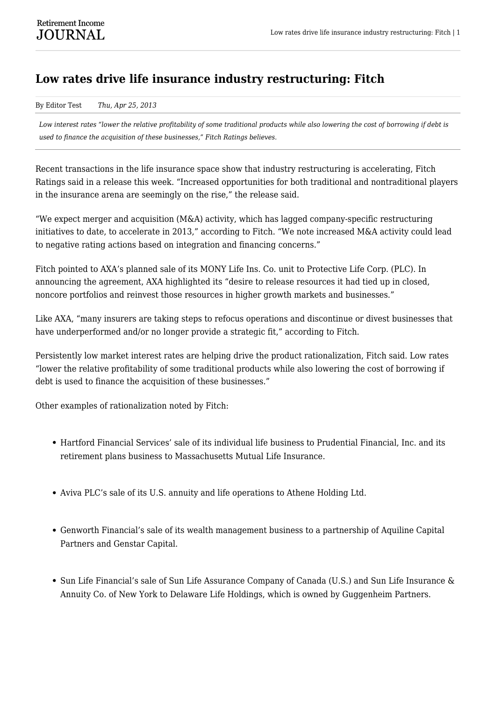## **Low rates drive life insurance industry restructuring: Fitch**

By Editor Test *Thu, Apr 25, 2013*

*Low interest rates "lower the relative profitability of some traditional products while also lowering the cost of borrowing if debt is used to finance the acquisition of these businesses," Fitch Ratings believes.*

Recent transactions in the life insurance space show that industry restructuring is accelerating, Fitch Ratings said in a release this week. "Increased opportunities for both traditional and nontraditional players in the insurance arena are seemingly on the rise," the release said.

"We expect merger and acquisition (M&A) activity, which has lagged company-specific restructuring initiatives to date, to accelerate in 2013," according to Fitch. "We note increased M&A activity could lead to negative rating actions based on integration and financing concerns."

Fitch pointed to AXA's planned sale of its MONY Life Ins. Co. unit to Protective Life Corp. (PLC). In announcing the agreement, AXA highlighted its "desire to release resources it had tied up in closed, noncore portfolios and reinvest those resources in higher growth markets and businesses."

Like AXA, "many insurers are taking steps to refocus operations and discontinue or divest businesses that have underperformed and/or no longer provide a strategic fit," according to Fitch.

Persistently low market interest rates are helping drive the product rationalization, Fitch said. Low rates "lower the relative profitability of some traditional products while also lowering the cost of borrowing if debt is used to finance the acquisition of these businesses."

Other examples of rationalization noted by Fitch:

- Hartford Financial Services' sale of its individual life business to Prudential Financial, Inc. and its retirement plans business to Massachusetts Mutual Life Insurance.
- Aviva PLC's sale of its U.S. annuity and life operations to Athene Holding Ltd.
- Genworth Financial's sale of its wealth management business to a partnership of Aquiline Capital Partners and Genstar Capital.
- Sun Life Financial's sale of Sun Life Assurance Company of Canada (U.S.) and Sun Life Insurance & Annuity Co. of New York to Delaware Life Holdings, which is owned by Guggenheim Partners.